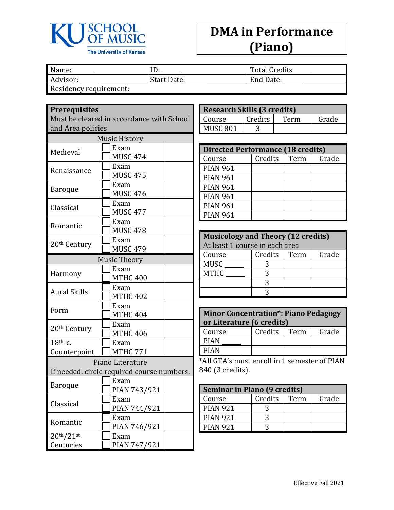

## **DMA in Performance (Piano)**

| Name:                  | ID:         | <b>Total Credits</b> |
|------------------------|-------------|----------------------|
| Advisor:               | Start Date: | End Date:            |
| Residency requirement: |             |                      |

**Prerequisites**

| Must be cleared in accordance with School |
|-------------------------------------------|
| and Area policies                         |
|                                           |

|                                    | <b>Music History</b> |                                            |  |  |
|------------------------------------|----------------------|--------------------------------------------|--|--|
| Medieval                           |                      | Exam                                       |  |  |
|                                    |                      | <b>MUSC 474</b>                            |  |  |
| Renaissance                        |                      | Exam                                       |  |  |
|                                    |                      | <b>MUSC 475</b>                            |  |  |
| Baroque                            |                      | Exam                                       |  |  |
|                                    |                      | <b>MUSC 476</b>                            |  |  |
| Classical                          |                      | Exam                                       |  |  |
|                                    |                      | <b>MUSC 477</b>                            |  |  |
| Romantic                           |                      | Exam                                       |  |  |
|                                    |                      | <b>MUSC 478</b>                            |  |  |
| 20 <sup>th</sup> Century           |                      | Exam                                       |  |  |
|                                    |                      | <b>MUSC 479</b>                            |  |  |
|                                    |                      | <b>Music Theory</b>                        |  |  |
|                                    |                      | Exam                                       |  |  |
| Harmony                            |                      | <b>MTHC 400</b>                            |  |  |
|                                    |                      | Exam                                       |  |  |
| <b>Aural Skills</b>                |                      | <b>MTHC 402</b>                            |  |  |
| Form                               |                      | Exam                                       |  |  |
|                                    |                      | <b>MTHC 404</b>                            |  |  |
| 20 <sup>th</sup> Century           |                      | Exam                                       |  |  |
|                                    |                      | <b>MTHC 406</b>                            |  |  |
| $18th$ -c.                         |                      | Exam                                       |  |  |
| Counterpoint                       |                      | <b>MTHC 771</b>                            |  |  |
|                                    |                      | Piano Literature                           |  |  |
|                                    |                      | If needed, circle required course numbers. |  |  |
|                                    |                      | Exam                                       |  |  |
| <b>Baroque</b>                     |                      | PIAN 743/921                               |  |  |
| Classical                          |                      | Exam                                       |  |  |
|                                    |                      | PIAN 744/921                               |  |  |
| Romantic                           |                      | Exam                                       |  |  |
|                                    |                      | PIAN 746/921                               |  |  |
| 20 <sup>th</sup> /21 <sup>st</sup> |                      | Exam                                       |  |  |
| Centuries                          |                      | PIAN 747/921                               |  |  |

| <b>Research Skills (3 credits)</b> |         |      |       |
|------------------------------------|---------|------|-------|
| Course                             | Credits | Term | Grade |
| MUSC <sub>801</sub>                |         |      |       |

| <b>Directed Performance (18 credits)</b> |         |      |       |  |
|------------------------------------------|---------|------|-------|--|
| Course                                   | Credits | Term | Grade |  |
| <b>PIAN 961</b>                          |         |      |       |  |
| <b>PIAN 961</b>                          |         |      |       |  |
| <b>PIAN 961</b>                          |         |      |       |  |
| <b>PIAN 961</b>                          |         |      |       |  |
| <b>PIAN 961</b>                          |         |      |       |  |
| <b>PIAN 961</b>                          |         |      |       |  |

| <b>Musicology and Theory (12 credits)</b> |         |      |       |
|-------------------------------------------|---------|------|-------|
| At least 1 course in each area            |         |      |       |
| Course                                    | Credits | Term | Grade |
| <b>MUSC</b>                               |         |      |       |
| <b>MTHC</b>                               |         |      |       |
|                                           |         |      |       |
|                                           |         |      |       |

| <b>Minor Concentration*: Piano Pedagogy</b><br>or Literature (6 credits) |         |      |       |  |  |
|--------------------------------------------------------------------------|---------|------|-------|--|--|
| Course                                                                   | Credits | Term | Grade |  |  |
| <b>PIAN</b>                                                              |         |      |       |  |  |
| PIAN                                                                     |         |      |       |  |  |

\*All GTA's must enroll in 1 semester of PIAN 840 (3 credits).

| <b>Seminar in Piano (9 credits)</b> |         |      |       |
|-------------------------------------|---------|------|-------|
| Course                              | Credits | Term | Grade |
| <b>PIAN 921</b>                     |         |      |       |
| <b>PIAN 921</b>                     |         |      |       |
| <b>PIAN 921</b>                     |         |      |       |